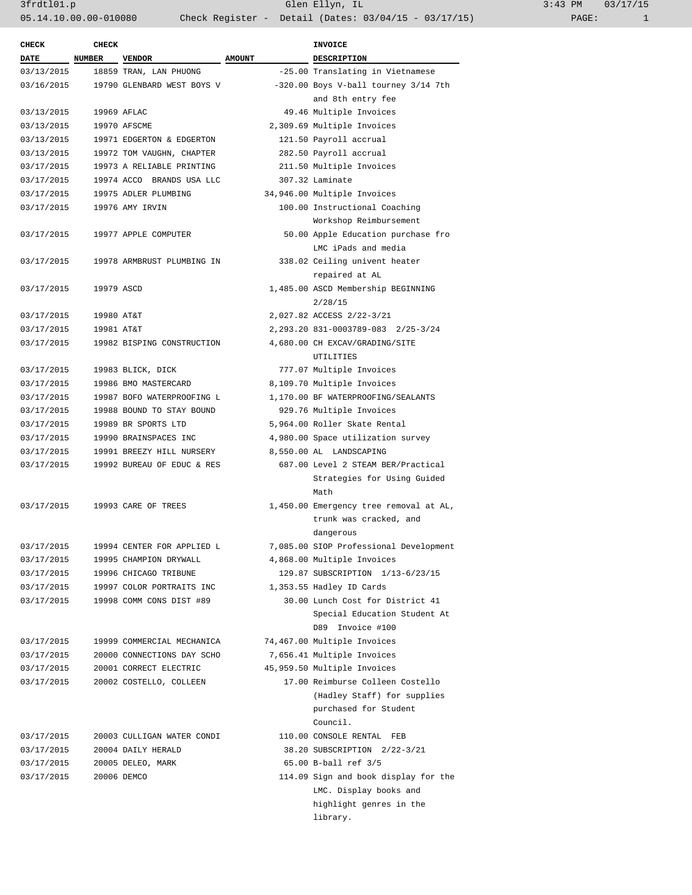| 3:43 PM |       | 03/17/15 |
|---------|-------|----------|
|         | PAGE: |          |

| <b>CHECK</b> | <b>CHECK</b> |                            |               | <b>INVOICE</b>                         |
|--------------|--------------|----------------------------|---------------|----------------------------------------|
| <b>DATE</b>  | NUMBER       | <b>VENDOR</b>              | <b>AMOUNT</b> | <b>DESCRIPTION</b>                     |
| 03/13/2015   |              | 18859 TRAN, LAN PHUONG     |               | -25.00 Translating in Vietnamese       |
| 03/16/2015   |              | 19790 GLENBARD WEST BOYS V |               | -320.00 Boys V-ball tourney 3/14 7th   |
|              |              |                            |               | and 8th entry fee                      |
| 03/13/2015   |              | 19969 AFLAC                |               | 49.46 Multiple Invoices                |
| 03/13/2015   |              | 19970 AFSCME               |               | 2,309.69 Multiple Invoices             |
| 03/13/2015   |              | 19971 EDGERTON & EDGERTON  |               | 121.50 Payroll accrual                 |
| 03/13/2015   |              | 19972 TOM VAUGHN, CHAPTER  |               | 282.50 Payroll accrual                 |
| 03/17/2015   |              | 19973 A RELIABLE PRINTING  |               | 211.50 Multiple Invoices               |
| 03/17/2015   |              | 19974 ACCO BRANDS USA LLC  |               | 307.32 Laminate                        |
| 03/17/2015   |              | 19975 ADLER PLUMBING       |               | 34,946.00 Multiple Invoices            |
| 03/17/2015   |              | 19976 AMY IRVIN            |               | 100.00 Instructional Coaching          |
|              |              |                            |               | Workshop Reimbursement                 |
| 03/17/2015   |              | 19977 APPLE COMPUTER       |               | 50.00 Apple Education purchase fro     |
|              |              |                            |               | LMC iPads and media                    |
| 03/17/2015   |              | 19978 ARMBRUST PLUMBING IN |               | 338.02 Ceiling univent heater          |
|              |              |                            |               | repaired at AL                         |
| 03/17/2015   | 19979 ASCD   |                            |               | 1,485.00 ASCD Membership BEGINNING     |
|              |              |                            |               | 2/28/15                                |
| 03/17/2015   | 19980 AT&T   |                            |               | 2,027.82 ACCESS 2/22-3/21              |
| 03/17/2015   | 19981 AT&T   |                            |               | 2, 293.20 831-0003789-083 2/25-3/24    |
| 03/17/2015   |              | 19982 BISPING CONSTRUCTION |               | 4,680.00 CH EXCAV/GRADING/SITE         |
|              |              |                            |               | UTILITIES                              |
| 03/17/2015   |              | 19983 BLICK, DICK          |               | 777.07 Multiple Invoices               |
| 03/17/2015   |              | 19986 BMO MASTERCARD       |               | 8,109.70 Multiple Invoices             |
| 03/17/2015   |              | 19987 BOFO WATERPROOFING L |               | 1,170.00 BF WATERPROOFING/SEALANTS     |
| 03/17/2015   |              | 19988 BOUND TO STAY BOUND  |               | 929.76 Multiple Invoices               |
| 03/17/2015   |              | 19989 BR SPORTS LTD        |               | 5,964.00 Roller Skate Rental           |
| 03/17/2015   |              | 19990 BRAINSPACES INC      |               | 4,980.00 Space utilization survey      |
| 03/17/2015   |              | 19991 BREEZY HILL NURSERY  |               | 8,550.00 AL LANDSCAPING                |
| 03/17/2015   |              | 19992 BUREAU OF EDUC & RES |               | 687.00 Level 2 STEAM BER/Practical     |
|              |              |                            |               | Strategies for Using Guided            |
|              |              |                            |               | Math                                   |
| 03/17/2015   |              | 19993 CARE OF TREES        |               | 1,450.00 Emergency tree removal at AL, |
|              |              |                            |               | trunk was cracked, and                 |
|              |              |                            |               | dangerous                              |
| 03/17/2015   |              | 19994 CENTER FOR APPLIED L |               | 7,085.00 SIOP Professional Development |
| 03/17/2015   |              | 19995 CHAMPION DRYWALL     |               | 4,868.00 Multiple Invoices             |
| 03/17/2015   |              | 19996 CHICAGO TRIBUNE      |               | 129.87 SUBSCRIPTION 1/13-6/23/15       |
| 03/17/2015   |              | 19997 COLOR PORTRAITS INC  |               | 1,353.55 Hadley ID Cards               |
| 03/17/2015   |              | 19998 COMM CONS DIST #89   |               | 30.00 Lunch Cost for District 41       |
|              |              |                            |               | Special Education Student At           |
|              |              |                            |               | D89 Invoice #100                       |
| 03/17/2015   |              | 19999 COMMERCIAL MECHANICA |               | 74,467.00 Multiple Invoices            |
| 03/17/2015   |              | 20000 CONNECTIONS DAY SCHO |               | 7,656.41 Multiple Invoices             |
| 03/17/2015   |              | 20001 CORRECT ELECTRIC     |               | 45,959.50 Multiple Invoices            |
| 03/17/2015   |              | 20002 COSTELLO, COLLEEN    |               | 17.00 Reimburse Colleen Costello       |
|              |              |                            |               | (Hadley Staff) for supplies            |
|              |              |                            |               | purchased for Student                  |
|              |              |                            |               | Council.                               |
| 03/17/2015   |              | 20003 CULLIGAN WATER CONDI |               | 110.00 CONSOLE RENTAL FEB              |
| 03/17/2015   |              | 20004 DAILY HERALD         |               | 38.20 SUBSCRIPTION 2/22-3/21           |
| 03/17/2015   |              | 20005 DELEO, MARK          |               | 65.00 B-ball ref 3/5                   |
| 03/17/2015   |              | 20006 DEMCO                |               | 114.09 Sign and book display for the   |
|              |              |                            |               | LMC. Display books and                 |
|              |              |                            |               | highlight genres in the                |
|              |              |                            |               |                                        |
|              |              |                            |               | library.                               |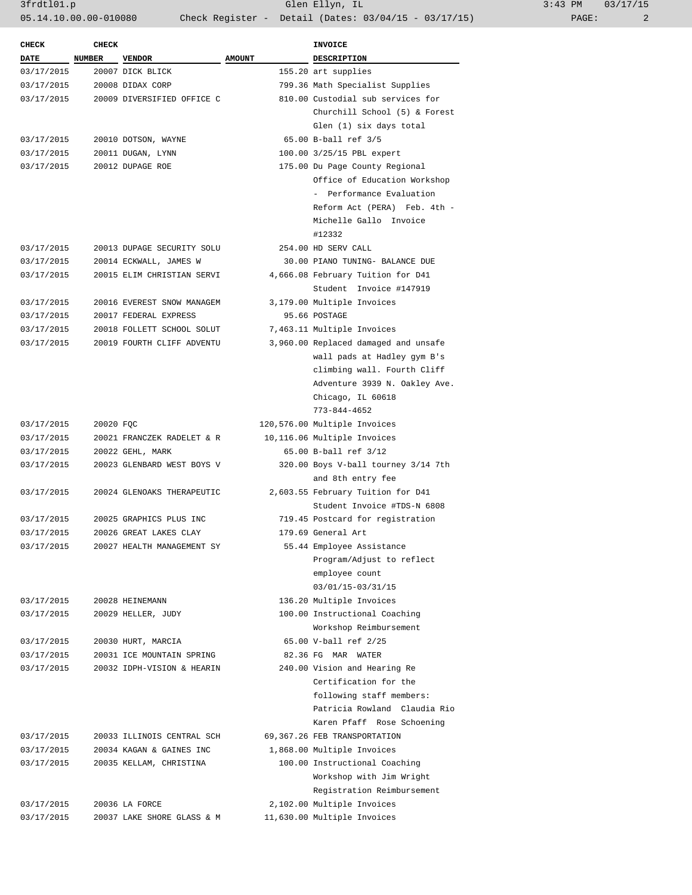3frdtl01.p Glen Ellyn, IL 3:43 PM 03/17/15 05.14.10.00.00-010080 Check Register - Detail (Dates: 03/04/15 - 03/17/15) PAGE: 2

| <b>CHECK</b> | <b>CHECK</b>  |                            |               | <b>INVOICE</b>                       |
|--------------|---------------|----------------------------|---------------|--------------------------------------|
| DATE         | <b>NUMBER</b> | <b>VENDOR</b>              | <b>AMOUNT</b> | DESCRIPTION                          |
| 03/17/2015   |               | 20007 DICK BLICK           |               | 155.20 art supplies                  |
| 03/17/2015   |               | 20008 DIDAX CORP           |               | 799.36 Math Specialist Supplies      |
| 03/17/2015   |               | 20009 DIVERSIFIED OFFICE C |               | 810.00 Custodial sub services for    |
|              |               |                            |               | Churchill School (5) & Forest        |
|              |               |                            |               | Glen (1) six days total              |
| 03/17/2015   |               | 20010 DOTSON, WAYNE        |               | 65.00 B-ball ref 3/5                 |
| 03/17/2015   |               | 20011 DUGAN, LYNN          |               | 100.00 3/25/15 PBL expert            |
| 03/17/2015   |               | 20012 DUPAGE ROE           |               | 175.00 Du Page County Regional       |
|              |               |                            |               |                                      |
|              |               |                            |               | Office of Education Workshop         |
|              |               |                            |               | - Performance Evaluation             |
|              |               |                            |               | Reform Act (PERA) Feb. 4th -         |
|              |               |                            |               | Michelle Gallo Invoice               |
|              |               |                            |               | #12332                               |
| 03/17/2015   |               | 20013 DUPAGE SECURITY SOLU |               | 254.00 HD SERV CALL                  |
| 03/17/2015   |               | 20014 ECKWALL, JAMES W     |               | 30.00 PIANO TUNING- BALANCE DUE      |
| 03/17/2015   |               | 20015 ELIM CHRISTIAN SERVI |               | 4,666.08 February Tuition for D41    |
|              |               |                            |               | Student Invoice #147919              |
| 03/17/2015   |               | 20016 EVEREST SNOW MANAGEM |               | 3,179.00 Multiple Invoices           |
| 03/17/2015   |               | 20017 FEDERAL EXPRESS      |               | 95.66 POSTAGE                        |
| 03/17/2015   |               | 20018 FOLLETT SCHOOL SOLUT |               | 7,463.11 Multiple Invoices           |
| 03/17/2015   |               | 20019 FOURTH CLIFF ADVENTU |               | 3,960.00 Replaced damaged and unsafe |
|              |               |                            |               | wall pads at Hadley gym B's          |
|              |               |                            |               | climbing wall. Fourth Cliff          |
|              |               |                            |               | Adventure 3939 N. Oakley Ave.        |
|              |               |                            |               | Chicago, IL 60618                    |
|              |               |                            |               | $773 - 844 - 4652$                   |
| 03/17/2015   | 20020 FQC     |                            |               | 120,576.00 Multiple Invoices         |
| 03/17/2015   |               | 20021 FRANCZEK RADELET & R |               | 10,116.06 Multiple Invoices          |
| 03/17/2015   |               | 20022 GEHL, MARK           |               | 65.00 B-ball ref 3/12                |
| 03/17/2015   |               | 20023 GLENBARD WEST BOYS V |               | 320.00 Boys V-ball tourney 3/14 7th  |
|              |               |                            |               |                                      |
|              |               |                            |               | and 8th entry fee                    |
| 03/17/2015   |               | 20024 GLENOAKS THERAPEUTIC |               | 2,603.55 February Tuition for D41    |
|              |               |                            |               | Student Invoice #TDS-N 6808          |
| 03/17/2015   |               | 20025 GRAPHICS PLUS INC    |               | 719.45 Postcard for registration     |
| 03/17/2015   |               | 20026 GREAT LAKES CLAY     |               | 179.69 General Art                   |
| 03/17/2015   |               | 20027 HEALTH MANAGEMENT SY |               | 55.44 Employee Assistance            |
|              |               |                            |               | Program/Adjust to reflect            |
|              |               |                            |               | employee count                       |
|              |               |                            |               | 03/01/15-03/31/15                    |
| 03/17/2015   |               | 20028 HEINEMANN            |               | 136.20 Multiple Invoices             |
| 03/17/2015   |               | 20029 HELLER, JUDY         |               | 100.00 Instructional Coaching        |
|              |               |                            |               | Workshop Reimbursement               |
| 03/17/2015   |               | 20030 HURT, MARCIA         |               | 65.00 V-ball ref 2/25                |
| 03/17/2015   |               | 20031 ICE MOUNTAIN SPRING  |               | 82.36 FG MAR WATER                   |
| 03/17/2015   |               | 20032 IDPH-VISION & HEARIN |               | 240.00 Vision and Hearing Re         |
|              |               |                            |               | Certification for the                |
|              |               |                            |               | following staff members:             |
|              |               |                            |               | Patricia Rowland Claudia Rio         |
|              |               |                            |               | Karen Pfaff Rose Schoening           |
|              |               | 20033 ILLINOIS CENTRAL SCH |               | 69,367.26 FEB TRANSPORTATION         |
| 03/17/2015   |               |                            |               |                                      |
| 03/17/2015   |               | 20034 KAGAN & GAINES INC   |               | 1,868.00 Multiple Invoices           |
| 03/17/2015   |               | 20035 KELLAM, CHRISTINA    |               | 100.00 Instructional Coaching        |
|              |               |                            |               | Workshop with Jim Wright             |
|              |               |                            |               | Registration Reimbursement           |
| 03/17/2015   |               | 20036 LA FORCE             |               | 2,102.00 Multiple Invoices           |
| 03/17/2015   |               | 20037 LAKE SHORE GLASS & M |               | 11,630.00 Multiple Invoices          |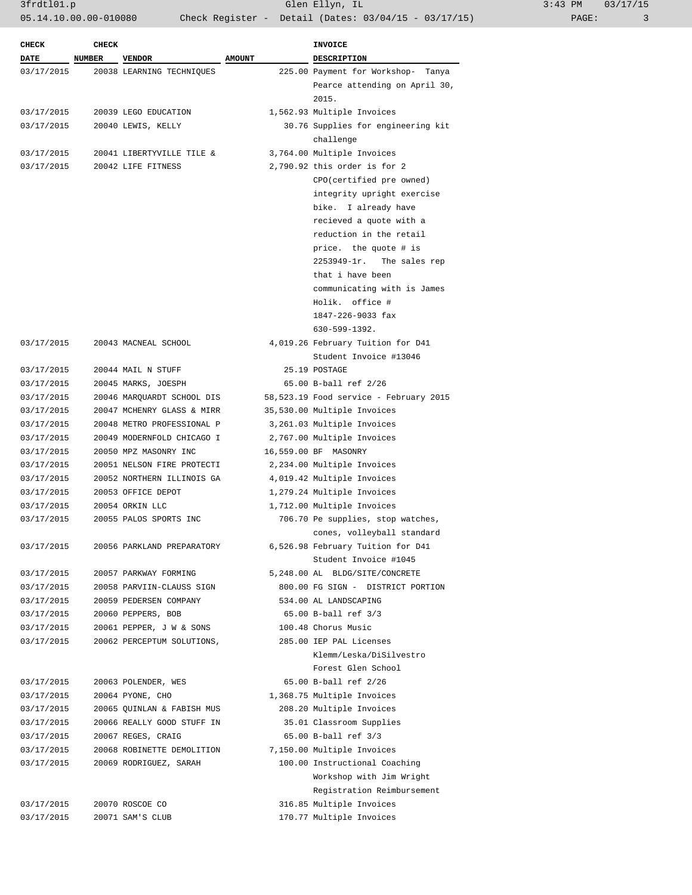3frdtl01.p Glen Ellyn, IL 3:43 PM 03/17/15 05.14.10.00.00-010080 Check Register - Detail (Dates: 03/04/15 - 03/17/15) PAGE: 3

| <b>CHECK</b> | <b>CHECK</b>  |                            |               | <b>INVOICE</b>                         |
|--------------|---------------|----------------------------|---------------|----------------------------------------|
| <b>DATE</b>  | <b>NUMBER</b> | <b>VENDOR</b>              | <b>AMOUNT</b> | DESCRIPTION                            |
| 03/17/2015   |               | 20038 LEARNING TECHNIOUES  |               | 225.00 Payment for Workshop- Tanya     |
|              |               |                            |               | Pearce attending on April 30,<br>2015. |
| 03/17/2015   |               | 20039 LEGO EDUCATION       |               | 1,562.93 Multiple Invoices             |
| 03/17/2015   |               | 20040 LEWIS, KELLY         |               | 30.76 Supplies for engineering kit     |
|              |               |                            |               | challenge                              |
| 03/17/2015   |               | 20041 LIBERTYVILLE TILE &  |               | 3,764.00 Multiple Invoices             |
| 03/17/2015   |               | 20042 LIFE FITNESS         |               | 2,790.92 this order is for 2           |
|              |               |                            |               | CPO (certified pre owned)              |
|              |               |                            |               | integrity upright exercise             |
|              |               |                            |               | bike. I already have                   |
|              |               |                            |               | recieved a quote with a                |
|              |               |                            |               | reduction in the retail                |
|              |               |                            |               | price. the quote # is                  |
|              |               |                            |               | $2253949 - 1r$ .<br>The sales rep      |
|              |               |                            |               | that i have been                       |
|              |               |                            |               | communicating with is James            |
|              |               |                            |               | Holik. office #                        |
|              |               |                            |               | 1847-226-9033 fax                      |
|              |               |                            |               | $630 - 599 - 1392$ .                   |
| 03/17/2015   |               | 20043 MACNEAL SCHOOL       |               | 4,019.26 February Tuition for D41      |
|              |               |                            |               | Student Invoice #13046                 |
| 03/17/2015   |               | 20044 MAIL N STUFF         |               | 25.19 POSTAGE                          |
| 03/17/2015   |               | 20045 MARKS, JOESPH        |               | 65.00 B-ball ref 2/26                  |
| 03/17/2015   |               | 20046 MARQUARDT SCHOOL DIS |               | 58,523.19 Food service - February 2015 |
| 03/17/2015   |               | 20047 MCHENRY GLASS & MIRR |               | 35,530.00 Multiple Invoices            |
| 03/17/2015   |               | 20048 METRO PROFESSIONAL P |               | 3,261.03 Multiple Invoices             |
| 03/17/2015   |               | 20049 MODERNFOLD CHICAGO I |               | 2,767.00 Multiple Invoices             |
| 03/17/2015   |               | 20050 MPZ MASONRY INC      |               | 16,559.00 BF MASONRY                   |
| 03/17/2015   |               | 20051 NELSON FIRE PROTECTI |               | 2,234.00 Multiple Invoices             |
| 03/17/2015   |               | 20052 NORTHERN ILLINOIS GA |               | 4,019.42 Multiple Invoices             |
| 03/17/2015   |               | 20053 OFFICE DEPOT         |               | 1,279.24 Multiple Invoices             |
| 03/17/2015   |               | 20054 ORKIN LLC            |               | 1,712.00 Multiple Invoices             |
| 03/17/2015   |               | 20055 PALOS SPORTS INC     |               | 706.70 Pe supplies, stop watches,      |
|              |               |                            |               | cones, volleyball standard             |
| 03/17/2015   |               | 20056 PARKLAND PREPARATORY |               | 6,526.98 February Tuition for D41      |
|              |               |                            |               | Student Invoice #1045                  |
| 03/17/2015   |               | 20057 PARKWAY FORMING      |               | 5,248.00 AL BLDG/SITE/CONCRETE         |
| 03/17/2015   |               | 20058 PARVIIN-CLAUSS SIGN  |               | 800.00 FG SIGN - DISTRICT PORTION      |
| 03/17/2015   |               | 20059 PEDERSEN COMPANY     |               | 534.00 AL LANDSCAPING                  |
| 03/17/2015   |               | 20060 PEPPERS, BOB         |               | 65.00 B-ball ref 3/3                   |
| 03/17/2015   |               | 20061 PEPPER, J W & SONS   |               | 100.48 Chorus Music                    |
| 03/17/2015   |               | 20062 PERCEPTUM SOLUTIONS, |               | 285.00 IEP PAL Licenses                |
|              |               |                            |               | Klemm/Leska/DiSilvestro                |
|              |               |                            |               | Forest Glen School                     |
| 03/17/2015   |               | 20063 POLENDER, WES        |               | 65.00 B-ball ref 2/26                  |
| 03/17/2015   |               | 20064 PYONE, CHO           |               | 1,368.75 Multiple Invoices             |
| 03/17/2015   |               | 20065 QUINLAN & FABISH MUS |               | 208.20 Multiple Invoices               |
| 03/17/2015   |               | 20066 REALLY GOOD STUFF IN |               | 35.01 Classroom Supplies               |
| 03/17/2015   |               | 20067 REGES, CRAIG         |               | 65.00 B-ball ref 3/3                   |
| 03/17/2015   |               | 20068 ROBINETTE DEMOLITION |               | 7,150.00 Multiple Invoices             |
| 03/17/2015   |               | 20069 RODRIGUEZ, SARAH     |               | 100.00 Instructional Coaching          |
|              |               |                            |               | Workshop with Jim Wright               |
|              |               |                            |               | Registration Reimbursement             |
| 03/17/2015   |               | 20070 ROSCOE CO            |               | 316.85 Multiple Invoices               |
| 03/17/2015   |               | 20071 SAM'S CLUB           |               | 170.77 Multiple Invoices               |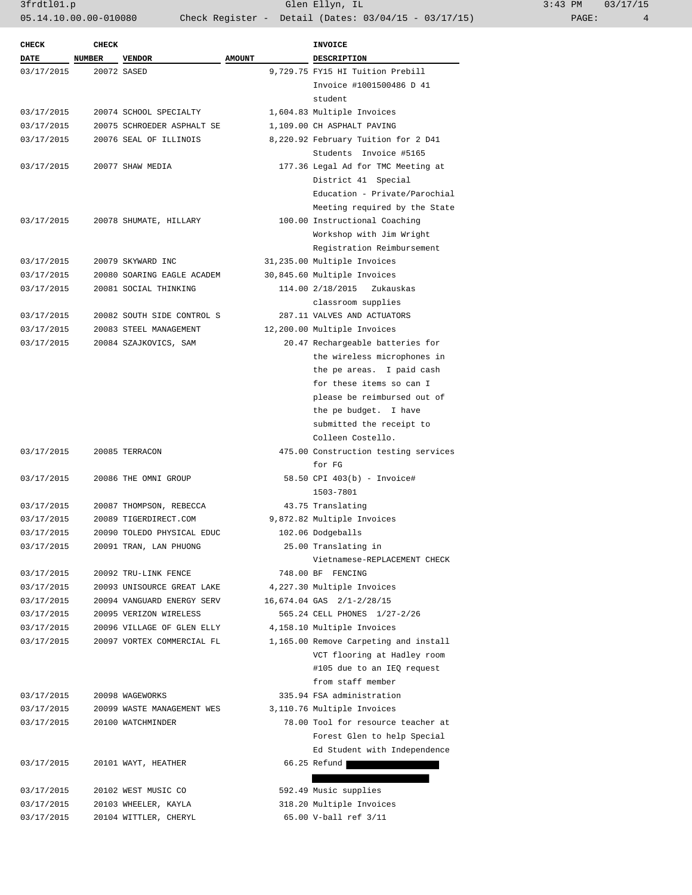| <b>CHECK</b><br><b>CHECK</b>                            | <b>INVOICE</b>                                    |
|---------------------------------------------------------|---------------------------------------------------|
| DATE<br><b>NUMBER</b><br><b>AMOUNT</b><br><b>VENDOR</b> | <b>DESCRIPTION</b>                                |
| 03/17/2015<br>20072 SASED                               | 9,729.75 FY15 HI Tuition Prebill                  |
|                                                         | Invoice #1001500486 D 41                          |
|                                                         | student                                           |
| 03/17/2015<br>20074 SCHOOL SPECIALTY                    | 1,604.83 Multiple Invoices                        |
| 03/17/2015<br>20075 SCHROEDER ASPHALT SE                | 1,109.00 CH ASPHALT PAVING                        |
| 03/17/2015<br>20076 SEAL OF ILLINOIS                    | 8,220.92 February Tuition for 2 D41               |
|                                                         | Students Invoice #5165                            |
| 03/17/2015<br>20077 SHAW MEDIA                          | 177.36 Legal Ad for TMC Meeting at                |
|                                                         | District 41 Special                               |
|                                                         | Education - Private/Parochial                     |
|                                                         | Meeting required by the State                     |
| 03/17/2015<br>20078 SHUMATE, HILLARY                    | 100.00 Instructional Coaching                     |
|                                                         | Workshop with Jim Wright                          |
|                                                         | Registration Reimbursement                        |
| 03/17/2015<br>20079 SKYWARD INC                         | 31,235.00 Multiple Invoices                       |
| 03/17/2015<br>20080 SOARING EAGLE ACADEM                | 30,845.60 Multiple Invoices                       |
| 03/17/2015<br>20081 SOCIAL THINKING                     | 114.00 2/18/2015<br>Zukauskas                     |
|                                                         | classroom supplies                                |
| 03/17/2015<br>20082 SOUTH SIDE CONTROL S                | 287.11 VALVES AND ACTUATORS                       |
| 03/17/2015<br>20083 STEEL MANAGEMENT                    | 12,200.00 Multiple Invoices                       |
| 03/17/2015<br>20084 SZAJKOVICS, SAM                     | 20.47 Rechargeable batteries for                  |
|                                                         | the wireless microphones in                       |
|                                                         | the pe areas. I paid cash                         |
|                                                         | for these items so can I                          |
|                                                         | please be reimbursed out of                       |
|                                                         | the pe budget. I have                             |
|                                                         | submitted the receipt to                          |
|                                                         | Colleen Costello.                                 |
| 03/17/2015<br>20085 TERRACON                            | 475.00 Construction testing services              |
|                                                         | for FG                                            |
| 03/17/2015<br>20086 THE OMNI GROUP                      | 58.50 CPI 403(b) - Invoice#                       |
|                                                         | 1503-7801                                         |
| 03/17/2015<br>20087 THOMPSON, REBECCA                   | 43.75 Translating                                 |
| 03/17/2015<br>20089 TIGERDIRECT.COM                     | 9,872.82 Multiple Invoices                        |
| 03/17/2015<br>20090 TOLEDO PHYSICAL EDUC                | 102.06 Dodgeballs                                 |
| 03/17/2015<br>20091 TRAN, LAN PHUONG                    | 25.00 Translating in                              |
|                                                         | Vietnamese-REPLACEMENT CHECK                      |
| 03/17/2015<br>20092 TRU-LINK FENCE                      | 748.00 BF FENCING                                 |
| 03/17/2015<br>20093 UNISOURCE GREAT LAKE                | 4,227.30 Multiple Invoices                        |
| 03/17/2015<br>20094 VANGUARD ENERGY SERV                | 16,674.04 GAS 2/1-2/28/15                         |
| 03/17/2015<br>20095 VERIZON WIRELESS                    | 565.24 CELL PHONES 1/27-2/26                      |
| 20096 VILLAGE OF GLEN ELLY<br>03/17/2015                | 4,158.10 Multiple Invoices                        |
| 20097 VORTEX COMMERCIAL FL<br>03/17/2015                | 1,165.00 Remove Carpeting and install             |
|                                                         | VCT flooring at Hadley room                       |
|                                                         | #105 due to an IEQ request                        |
|                                                         | from staff member                                 |
| 03/17/2015<br>20098 WAGEWORKS                           | 335.94 FSA administration                         |
| 20099 WASTE MANAGEMENT WES<br>03/17/2015                | 3,110.76 Multiple Invoices                        |
| 03/17/2015<br>20100 WATCHMINDER                         | 78.00 Tool for resource teacher at                |
|                                                         | Forest Glen to help Special                       |
|                                                         | Ed Student with Independence                      |
|                                                         |                                                   |
| 20101 WAYT, HEATHER                                     | 66.25 Refund                                      |
| 03/17/2015                                              |                                                   |
| 20102 WEST MUSIC CO                                     | 592.49 Music supplies                             |
| 03/17/2015<br>03/17/2015<br>20103 WHEELER, KAYLA        | 318.20 Multiple Invoices<br>65.00 V-ball ref 3/11 |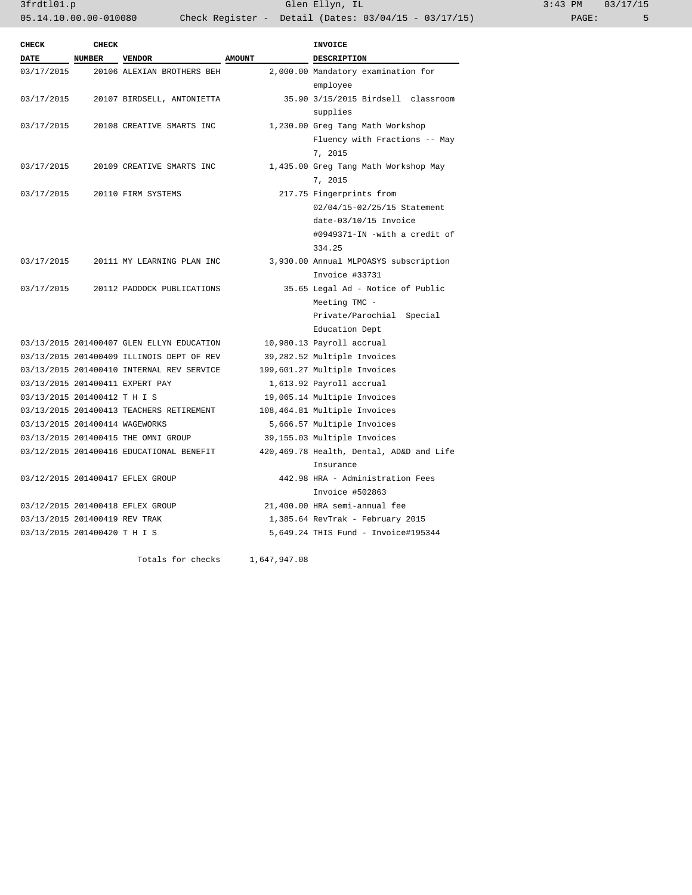3frdtl01.p Glen Ellyn, IL 3:43 PM 03/17/15 05.14.10.00.00-010080 Check Register - Detail (Dates: 03/04/15 - 03/17/15)

| <b>CHECK</b>                   | <b>CHECK</b>  |                                           |               | <b>INVOICE</b>                           |
|--------------------------------|---------------|-------------------------------------------|---------------|------------------------------------------|
| <b>DATE</b>                    | <b>NUMBER</b> | <b>VENDOR</b>                             | <b>AMOUNT</b> | <b>DESCRIPTION</b>                       |
| 03/17/2015                     |               | 20106 ALEXIAN BROTHERS BEH                |               | 2,000.00 Mandatory examination for       |
|                                |               |                                           |               | employee                                 |
| 03/17/2015                     |               | 20107 BIRDSELL, ANTONIETTA                |               | 35.90 3/15/2015 Birdsell classroom       |
|                                |               |                                           |               | supplies                                 |
| 03/17/2015                     |               | 20108 CREATIVE SMARTS INC                 |               | 1,230.00 Greg Tang Math Workshop         |
|                                |               |                                           |               | Fluency with Fractions -- May            |
|                                |               |                                           |               | 7, 2015                                  |
| 03/17/2015                     |               | 20109 CREATIVE SMARTS INC                 |               | 1,435.00 Greg Tang Math Workshop May     |
|                                |               |                                           |               | 7, 2015                                  |
| 03/17/2015                     |               | 20110 FIRM SYSTEMS                        |               | 217.75 Fingerprints from                 |
|                                |               |                                           |               | 02/04/15-02/25/15 Statement              |
|                                |               |                                           |               | date-03/10/15 Invoice                    |
|                                |               |                                           |               | #0949371-IN -with a credit of            |
|                                |               |                                           |               | 334.25                                   |
| 03/17/2015                     |               | 20111 MY LEARNING PLAN INC                |               | 3,930.00 Annual MLPOASYS subscription    |
|                                |               |                                           |               | Invoice #33731                           |
| 03/17/2015                     |               | 20112 PADDOCK PUBLICATIONS                |               | 35.65 Legal Ad - Notice of Public        |
|                                |               |                                           |               | Meeting TMC -                            |
|                                |               |                                           |               | Private/Parochial Special                |
|                                |               |                                           |               | Education Dept                           |
|                                |               | 03/13/2015 201400407 GLEN ELLYN EDUCATION |               | 10,980.13 Payroll accrual                |
|                                |               | 03/13/2015 201400409 ILLINOIS DEPT OF REV |               | 39,282.52 Multiple Invoices              |
|                                |               | 03/13/2015 201400410 INTERNAL REV SERVICE |               | 199,601.27 Multiple Invoices             |
|                                |               | 03/13/2015 201400411 EXPERT PAY           |               | 1,613.92 Payroll accrual                 |
| 03/13/2015 201400412 T H I S   |               |                                           |               | 19,065.14 Multiple Invoices              |
|                                |               | 03/13/2015 201400413 TEACHERS RETIREMENT  |               | 108,464.81 Multiple Invoices             |
| 03/13/2015 201400414 WAGEWORKS |               |                                           |               | 5,666.57 Multiple Invoices               |
|                                |               | 03/13/2015 201400415 THE OMNI GROUP       |               | 39,155.03 Multiple Invoices              |
|                                |               | 03/12/2015 201400416 EDUCATIONAL BENEFIT  |               | 420,469.78 Health, Dental, AD&D and Life |
|                                |               |                                           |               | Insurance                                |
|                                |               | 03/12/2015 201400417 EFLEX GROUP          |               | 442.98 HRA - Administration Fees         |
|                                |               |                                           |               | Invoice #502863                          |
|                                |               | 03/12/2015 201400418 EFLEX GROUP          |               | 21,400.00 HRA semi-annual fee            |
| 03/13/2015 201400419 REV TRAK  |               |                                           |               | 1,385.64 RevTrak - February 2015         |
| 03/13/2015 201400420 T H I S   |               |                                           |               | 5,649.24 THIS Fund - Invoice#195344      |
|                                |               | Totals for checks                         | 1,647,947.08  |                                          |